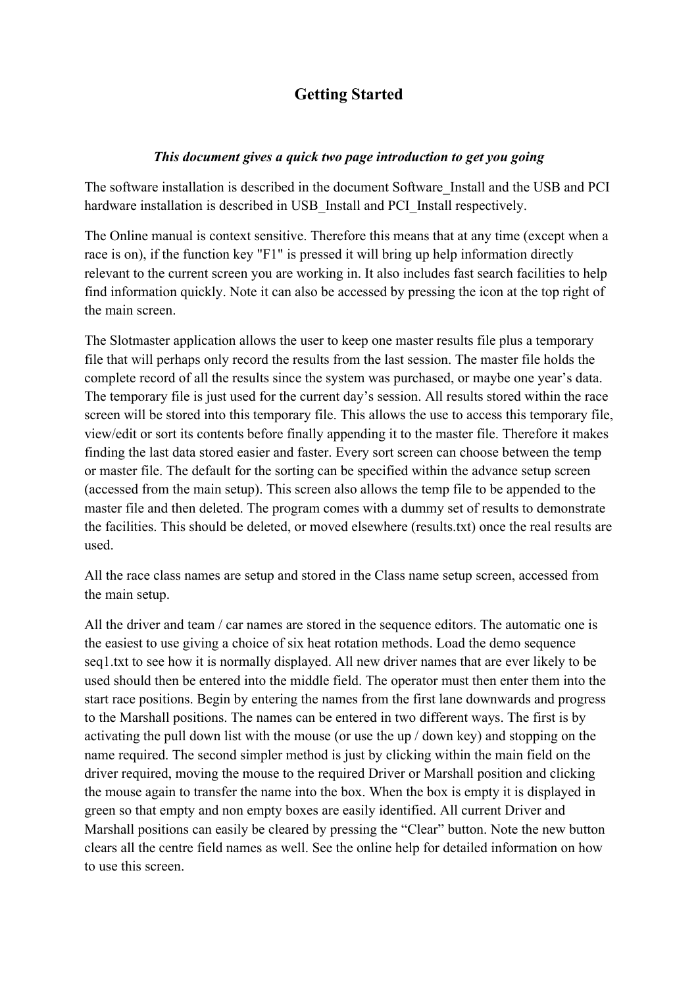## **Getting Started**

## *This document gives a quick two page introduction to get you going*

The software installation is described in the document Software\_Install and the USB and PCI hardware installation is described in USB Install and PCI Install respectively.

The Online manual is context sensitive. Therefore this means that at any time (except when a race is on), if the function key "F1" is pressed it will bring up help information directly relevant to the current screen you are working in. It also includes fast search facilities to help find information quickly. Note it can also be accessed by pressing the icon at the top right of the main screen.

The Slotmaster application allows the user to keep one master results file plus a temporary file that will perhaps only record the results from the last session. The master file holds the complete record of all the results since the system was purchased, or maybe one year's data. The temporary file is just used for the current day's session. All results stored within the race screen will be stored into this temporary file. This allows the use to access this temporary file, view/edit or sort its contents before finally appending it to the master file. Therefore it makes finding the last data stored easier and faster. Every sort screen can choose between the temp or master file. The default for the sorting can be specified within the advance setup screen (accessed from the main setup). This screen also allows the temp file to be appended to the master file and then deleted. The program comes with a dummy set of results to demonstrate the facilities. This should be deleted, or moved elsewhere (results.txt) once the real results are used.

All the race class names are setup and stored in the Class name setup screen, accessed from the main setup.

All the driver and team / car names are stored in the sequence editors. The automatic one is the easiest to use giving a choice of six heat rotation methods. Load the demo sequence seq1.txt to see how it is normally displayed. All new driver names that are ever likely to be used should then be entered into the middle field. The operator must then enter them into the start race positions. Begin by entering the names from the first lane downwards and progress to the Marshall positions. The names can be entered in two different ways. The first is by activating the pull down list with the mouse (or use the up / down key) and stopping on the name required. The second simpler method is just by clicking within the main field on the driver required, moving the mouse to the required Driver or Marshall position and clicking the mouse again to transfer the name into the box. When the box is empty it is displayed in green so that empty and non empty boxes are easily identified. All current Driver and Marshall positions can easily be cleared by pressing the "Clear" button. Note the new button clears all the centre field names as well. See the online help for detailed information on how to use this screen.